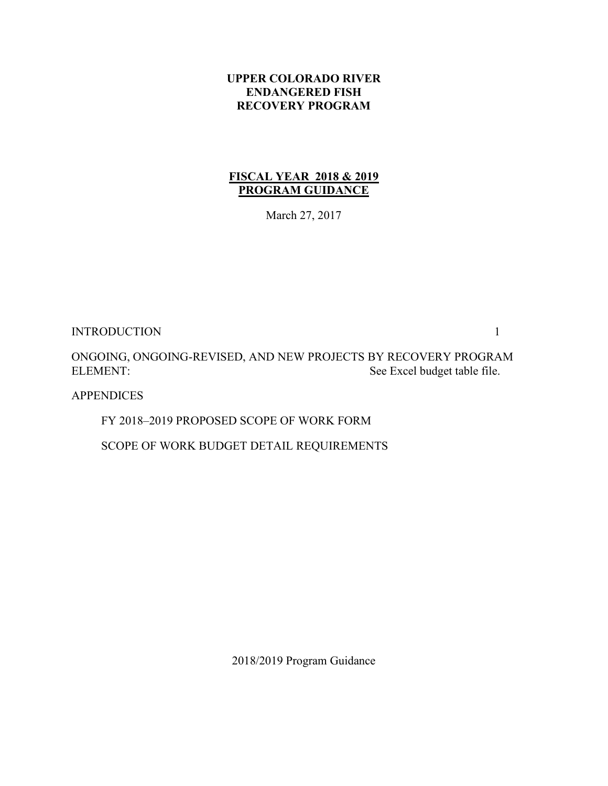### **UPPER COLORADO RIVER ENDANGERED FISH RECOVERY PROGRAM**

# **FISCAL YEAR 2018 & 2019 PROGRAM GUIDANCE**

March 27, 2017

INTRODUCTION 1

ONGOING, ONGOING-REVISED, AND NEW PROJECTS BY RECOVERY PROGRAM ELEMENT: See Excel budget table file.

APPENDICES

FY 2018–2019 PROPOSED SCOPE OF WORK FORM

SCOPE OF WORK BUDGET DETAIL REQUIREMENTS

2018/2019 Program Guidance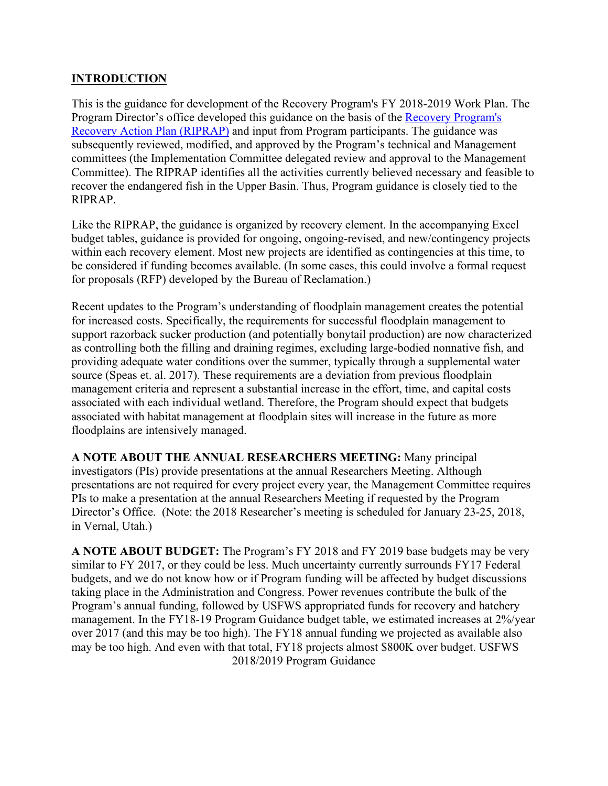# **INTRODUCTION**

This is the guidance for development of the Recovery Program's FY 2018-2019 Work Plan. The Program Director's office developed this guidance on the basis of the [Recovery Program's](http://www.coloradoriverrecovery.org/documents-publications/foundational-documents/recovery-action-plan.html)  [Recovery Action Plan \(RIPRAP\)](http://www.coloradoriverrecovery.org/documents-publications/foundational-documents/recovery-action-plan.html) and input from Program participants. The guidance was subsequently reviewed, modified, and approved by the Program's technical and Management committees (the Implementation Committee delegated review and approval to the Management Committee). The RIPRAP identifies all the activities currently believed necessary and feasible to recover the endangered fish in the Upper Basin. Thus, Program guidance is closely tied to the RIPRAP.

Like the RIPRAP, the guidance is organized by recovery element. In the accompanying Excel budget tables, guidance is provided for ongoing, ongoing-revised, and new/contingency projects within each recovery element. Most new projects are identified as contingencies at this time, to be considered if funding becomes available. (In some cases, this could involve a formal request for proposals (RFP) developed by the Bureau of Reclamation.)

Recent updates to the Program's understanding of floodplain management creates the potential for increased costs. Specifically, the requirements for successful floodplain management to support razorback sucker production (and potentially bonytail production) are now characterized as controlling both the filling and draining regimes, excluding large-bodied nonnative fish, and providing adequate water conditions over the summer, typically through a supplemental water source (Speas et. al. 2017). These requirements are a deviation from previous floodplain management criteria and represent a substantial increase in the effort, time, and capital costs associated with each individual wetland. Therefore, the Program should expect that budgets associated with habitat management at floodplain sites will increase in the future as more floodplains are intensively managed.

**A NOTE ABOUT THE ANNUAL RESEARCHERS MEETING:** Many principal investigators (PIs) provide presentations at the annual Researchers Meeting. Although presentations are not required for every project every year, the Management Committee requires PIs to make a presentation at the annual Researchers Meeting if requested by the Program Director's Office. (Note: the 2018 Researcher's meeting is scheduled for January 23-25, 2018, in Vernal, Utah.)

2018/2019 Program Guidance **A NOTE ABOUT BUDGET:** The Program's FY 2018 and FY 2019 base budgets may be very similar to FY 2017, or they could be less. Much uncertainty currently surrounds FY17 Federal budgets, and we do not know how or if Program funding will be affected by budget discussions taking place in the Administration and Congress. Power revenues contribute the bulk of the Program's annual funding, followed by USFWS appropriated funds for recovery and hatchery management. In the FY18-19 Program Guidance budget table, we estimated increases at 2%/year over 2017 (and this may be too high). The FY18 annual funding we projected as available also may be too high. And even with that total, FY18 projects almost \$800K over budget. USFWS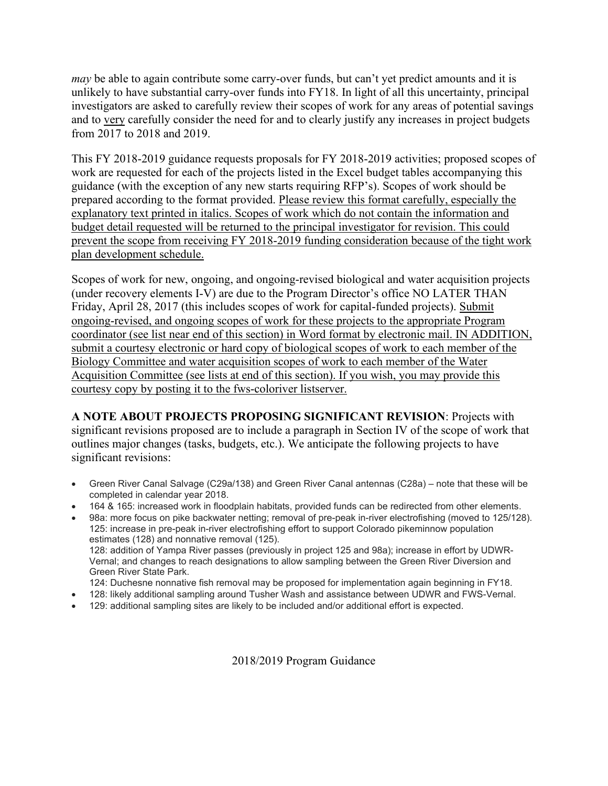*may* be able to again contribute some carry-over funds, but can't yet predict amounts and it is unlikely to have substantial carry-over funds into FY18. In light of all this uncertainty, principal investigators are asked to carefully review their scopes of work for any areas of potential savings and to very carefully consider the need for and to clearly justify any increases in project budgets from 2017 to 2018 and 2019.

This FY 2018-2019 guidance requests proposals for FY 2018-2019 activities; proposed scopes of work are requested for each of the projects listed in the Excel budget tables accompanying this guidance (with the exception of any new starts requiring RFP's). Scopes of work should be prepared according to the format provided. Please review this format carefully, especially the explanatory text printed in italics. Scopes of work which do not contain the information and budget detail requested will be returned to the principal investigator for revision. This could prevent the scope from receiving FY 2018-2019 funding consideration because of the tight work plan development schedule.

Scopes of work for new, ongoing, and ongoing-revised biological and water acquisition projects (under recovery elements I-V) are due to the Program Director's office NO LATER THAN Friday, April 28, 2017 (this includes scopes of work for capital-funded projects). Submit ongoing-revised, and ongoing scopes of work for these projects to the appropriate Program coordinator (see list near end of this section) in Word format by electronic mail. IN ADDITION, submit a courtesy electronic or hard copy of biological scopes of work to each member of the Biology Committee and water acquisition scopes of work to each member of the Water Acquisition Committee (see lists at end of this section). If you wish, you may provide this courtesy copy by posting it to the fws-coloriver listserver.

**A NOTE ABOUT PROJECTS PROPOSING SIGNIFICANT REVISION**: Projects with significant revisions proposed are to include a paragraph in Section IV of the scope of work that outlines major changes (tasks, budgets, etc.). We anticipate the following projects to have significant revisions:

- Green River Canal Salvage (C29a/138) and Green River Canal antennas (C28a) note that these will be completed in calendar year 2018.
- 164 & 165: increased work in floodplain habitats, provided funds can be redirected from other elements.
- 98a: more focus on pike backwater netting; removal of pre-peak in-river electrofishing (moved to 125/128). 125: increase in pre-peak in-river electrofishing effort to support Colorado pikeminnow population estimates (128) and nonnative removal (125). 128: addition of Yampa River passes (previously in project 125 and 98a); increase in effort by UDWR-Vernal; and changes to reach designations to allow sampling between the Green River Diversion and Green River State Park.
	- 124: Duchesne nonnative fish removal may be proposed for implementation again beginning in FY18.
- 128: likely additional sampling around Tusher Wash and assistance between UDWR and FWS-Vernal.
- 129: additional sampling sites are likely to be included and/or additional effort is expected.

2018/2019 Program Guidance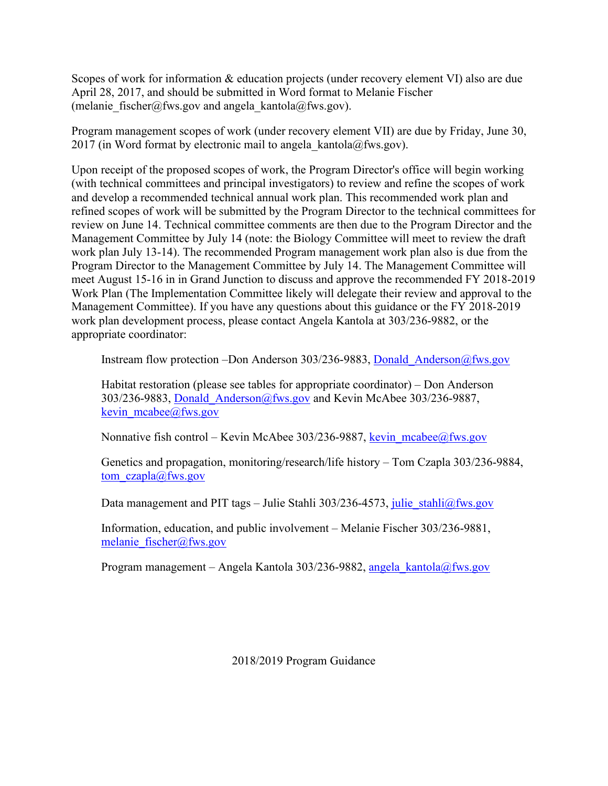Scopes of work for information & education projects (under recovery element VI) also are due April 28, 2017, and should be submitted in Word format to Melanie Fischer (melanie fischer@fws.gov and angela kantola@fws.gov).

Program management scopes of work (under recovery element VII) are due by Friday, June 30, 2017 (in Word format by electronic mail to angela kantola@fws.gov).

Upon receipt of the proposed scopes of work, the Program Director's office will begin working (with technical committees and principal investigators) to review and refine the scopes of work and develop a recommended technical annual work plan. This recommended work plan and refined scopes of work will be submitted by the Program Director to the technical committees for review on June 14. Technical committee comments are then due to the Program Director and the Management Committee by July 14 (note: the Biology Committee will meet to review the draft work plan July 13-14). The recommended Program management work plan also is due from the Program Director to the Management Committee by July 14. The Management Committee will meet August 15-16 in in Grand Junction to discuss and approve the recommended FY 2018-2019 Work Plan (The Implementation Committee likely will delegate their review and approval to the Management Committee). If you have any questions about this guidance or the FY 2018-2019 work plan development process, please contact Angela Kantola at 303/236-9882, or the appropriate coordinator:

Instream flow protection –Don Anderson 303/236-9883, Donald Anderson@fws.gov

Habitat restoration (please see tables for appropriate coordinator) – Don Anderson 303/236-9883, Donald\_Anderson@fws.gov and Kevin McAbee 303/236-9887, kevin mcabee@fws.gov

Nonnative fish control – Kevin McAbee 303/236-9887, kevin  $meabe@fws.gov$ 

Genetics and propagation, monitoring/research/life history – Tom Czapla 303/236-9884, [tom\\_czapla@fws.gov](mailto:tom_czapla@fws.gov)

Data management and PIT tags – Julie Stahli 303/236-4573, [julie\\_stahli@fws.gov](mailto:julie_stahli@fws.gov)

Information, education, and public involvement – Melanie Fischer 303/236-9881, [melanie\\_fischer@fws.gov](mailto:melanie_fischer@fws.gov)

Program management – Angela Kantola 303/236-9882, angela kantola@fws.gov

2018/2019 Program Guidance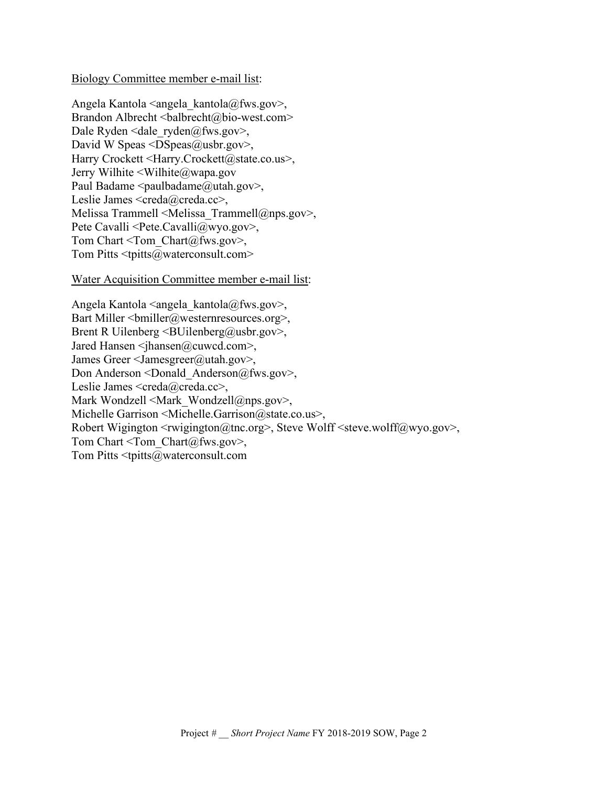#### Biology Committee member e-mail list:

Angela Kantola  $\langle$ angela kantola $@fws.gov\rangle$ , Brandon Albrecht <br/>balbrecht@bio-west.com> Dale Ryden <dale  $ryden@fws.gov$ , David W Speas  $\leq$ DSpeas $\omega$ usbr.gov>, Harry Crockett <Harry.Crockett@state.co.us>, Jerry Wilhite <Wilhite@wapa.gov Paul Badame  $\le$ paulbadame@utah.gov>, Leslie James <creda@creda.cc>, Melissa Trammell <Melissa\_Trammell@nps.gov>, Pete Cavalli <Pete.Cavalli@wyo.gov>, Tom Chart  $\le$ Tom Chart  $(a)$  fws.gov>, Tom Pitts  $\leq$ tpitts $@$ waterconsult.com>

#### Water Acquisition Committee member e-mail list:

Angela Kantola  $\langle \text{angela \t kantola}(\hat{\omega}) \rangle$ Bart Miller  $\leq$ bmiller@westernresources.org>, Brent R Uilenberg  $\leq$ BUilenberg@usbr.gov>, Jared Hansen <jhansen@cuwcd.com>, James Greer <Jamesgreer@utah.gov>, Don Anderson <Donald\_Anderson@fws.gov>, Leslie James <creda@creda.cc>, Mark Wondzell <Mark Wondzell@nps.gov>, Michelle Garrison <Michelle.Garrison@state.co.us>, Robert Wigington  $\langle \text{rwigngton}(\hat{\omega})\rangle$  steve Wolff $\langle \text{steve.wolf}(\hat{\omega})\rangle$ Tom Chart  $\le$ Tom Chart  $(a)$  fws.gov>, Tom Pitts <tpitts@waterconsult.com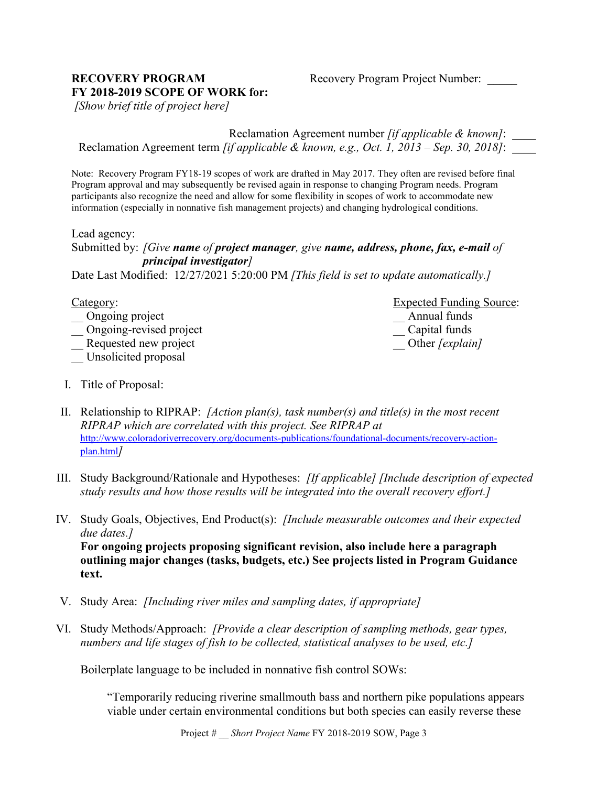#### **RECOVERY PROGRAM** Recovery Program Project Number: **FY 2018-2019 SCOPE OF WORK for:**

*[Show brief title of project here]*

Reclamation Agreement number *[if applicable & known]*: \_\_\_\_ Reclamation Agreement term *[if applicable & known, e.g., Oct. 1, 2013 – Sep. 30, 2018]*: \_\_\_\_

Note: Recovery Program FY18-19 scopes of work are drafted in May 2017. They often are revised before final Program approval and may subsequently be revised again in response to changing Program needs. Program participants also recognize the need and allow for some flexibility in scopes of work to accommodate new information (especially in nonnative fish management projects) and changing hydrological conditions.

Lead agency:

Submitted by: *[Give name of project manager, give name, address, phone, fax, e-mail of principal investigator]*

Date Last Modified: 12/27/2021 5:20:00 PM *[This field is set to update automatically.]*

| Category:               | <b>Expected Funding Source:</b> |  |
|-------------------------|---------------------------------|--|
| Ongoing project         | Annual funds                    |  |
| Ongoing-revised project | Capital funds                   |  |
| Requested new project   | Other [explain]                 |  |
| Unsolicited proposal    |                                 |  |

I. Title of Proposal:

II. Relationship to RIPRAP: *[Action plan(s), task number(s) and title(s) in the most recent RIPRAP which are correlated with this project. See RIPRAP at* [http://www.coloradoriverrecovery.org/documents-publications/foundational-documents/recovery-action](http://www.coloradoriverrecovery.org/documents-publications/foundational-documents/recovery-action-plan.html)[plan.html](http://www.coloradoriverrecovery.org/documents-publications/foundational-documents/recovery-action-plan.html)*]*

- III. Study Background/Rationale and Hypotheses: *[If applicable] [Include description of expected study results and how those results will be integrated into the overall recovery effort.]*
- IV. Study Goals, Objectives, End Product(s): *[Include measurable outcomes and their expected due dates.]*

**For ongoing projects proposing significant revision, also include here a paragraph outlining major changes (tasks, budgets, etc.) See projects listed in Program Guidance text.**

- V. Study Area: *[Including river miles and sampling dates, if appropriate]*
- VI. Study Methods/Approach: *[Provide a clear description of sampling methods, gear types, numbers and life stages of fish to be collected, statistical analyses to be used, etc.]*

Boilerplate language to be included in nonnative fish control SOWs:

"Temporarily reducing riverine smallmouth bass and northern pike populations appears viable under certain environmental conditions but both species can easily reverse these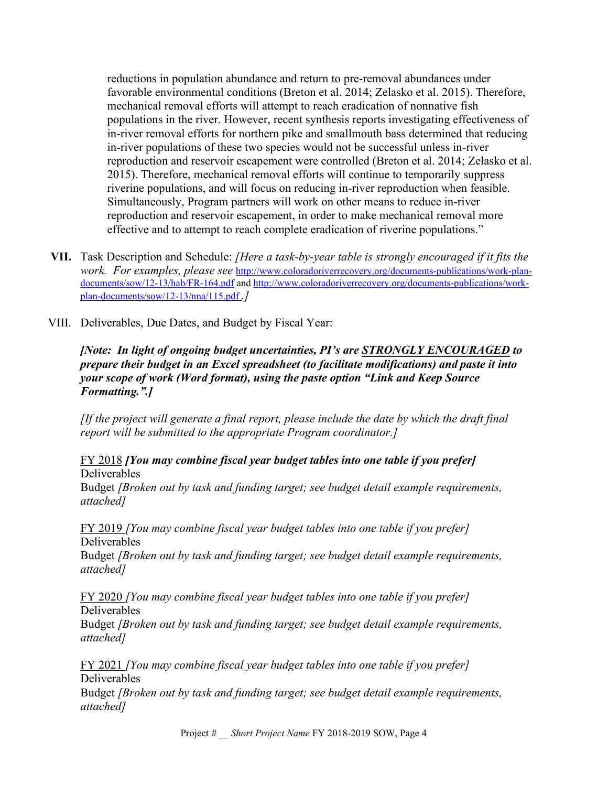reductions in population abundance and return to pre-removal abundances under favorable environmental conditions (Breton et al. 2014; Zelasko et al. 2015). Therefore, mechanical removal efforts will attempt to reach eradication of nonnative fish populations in the river. However, recent synthesis reports investigating effectiveness of in-river removal efforts for northern pike and smallmouth bass determined that reducing in-river populations of these two species would not be successful unless in-river reproduction and reservoir escapement were controlled (Breton et al. 2014; Zelasko et al. 2015). Therefore, mechanical removal efforts will continue to temporarily suppress riverine populations, and will focus on reducing in-river reproduction when feasible. Simultaneously, Program partners will work on other means to reduce in-river reproduction and reservoir escapement, in order to make mechanical removal more effective and to attempt to reach complete eradication of riverine populations."

- **VII.** Task Description and Schedule: *[Here a task-by-year table is strongly encouraged if it fits the work. For examples, please see* [http://www.coloradoriverrecovery.org/documents-publications/work-plan](http://www.coloradoriverrecovery.org/documents-publications/work-plan-documents/sow/12-13/hab/FR-164.pdf)[documents/sow/12-13/hab/FR-164.pdf](http://www.coloradoriverrecovery.org/documents-publications/work-plan-documents/sow/12-13/hab/FR-164.pdf) and [http://www.coloradoriverrecovery.org/documents-publications/work](http://www.coloradoriverrecovery.org/documents-publications/work-plan-documents/sow/12-13/nna/115.pdf)[plan-documents/sow/12-13/nna/115.pdf](http://www.coloradoriverrecovery.org/documents-publications/work-plan-documents/sow/12-13/nna/115.pdf) *.]*
- VIII. Deliverables, Due Dates, and Budget by Fiscal Year:

### *[Note: In light of ongoing budget uncertainties, PI's are STRONGLY ENCOURAGED to prepare their budget in an Excel spreadsheet (to facilitate modifications) and paste it into your scope of work (Word format), using the paste option "Link and Keep Source Formatting.".]*

*[If the project will generate a final report, please include the date by which the draft final report will be submitted to the appropriate Program coordinator.]*

#### FY 2018 *[You may combine fiscal year budget tables into one table if you prefer]* Deliverables

Budget *[Broken out by task and funding target; see budget detail example requirements, attached]*

FY 2019 *[You may combine fiscal year budget tables into one table if you prefer]* Deliverables

Budget *[Broken out by task and funding target; see budget detail example requirements, attached]*

FY 2020 *[You may combine fiscal year budget tables into one table if you prefer]* Deliverables

Budget *[Broken out by task and funding target; see budget detail example requirements, attached]*

FY 2021 *[You may combine fiscal year budget tables into one table if you prefer]* Deliverables

Budget *[Broken out by task and funding target; see budget detail example requirements, attached]*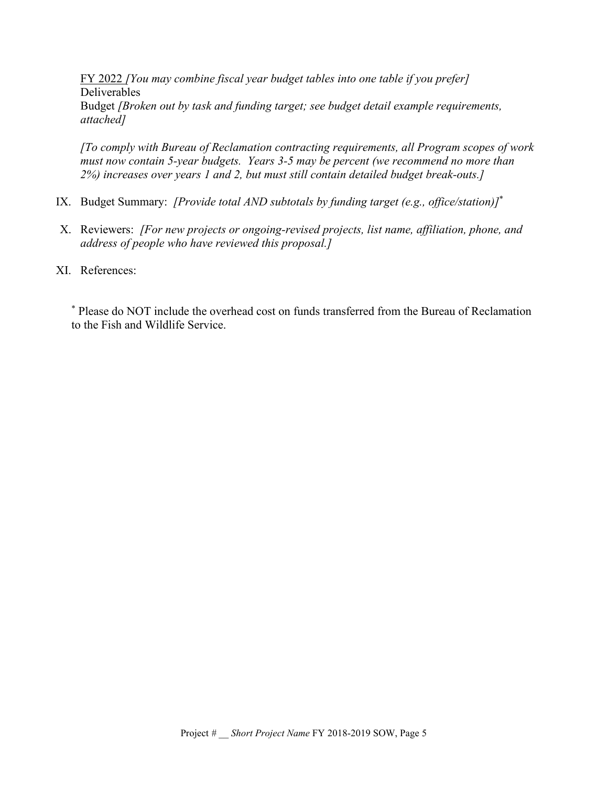FY 2022 *[You may combine fiscal year budget tables into one table if you prefer]* Deliverables Budget *[Broken out by task and funding target; see budget detail example requirements, attached]*

*[To comply with Bureau of Reclamation contracting requirements, all Program scopes of work must now contain 5-year budgets. Years 3-5 may be percent (we recommend no more than 2%) increases over years 1 and 2, but must still contain detailed budget break-outs.]*

- IX. Budget Summary: *[Provide total AND subtotals by funding target (e.g., office/station)]*\*
- X. Reviewers: *[For new projects or ongoing-revised projects, list name, affiliation, phone, and address of people who have reviewed this proposal.]*
- XI. References:

\* Please do NOT include the overhead cost on funds transferred from the Bureau of Reclamation to the Fish and Wildlife Service.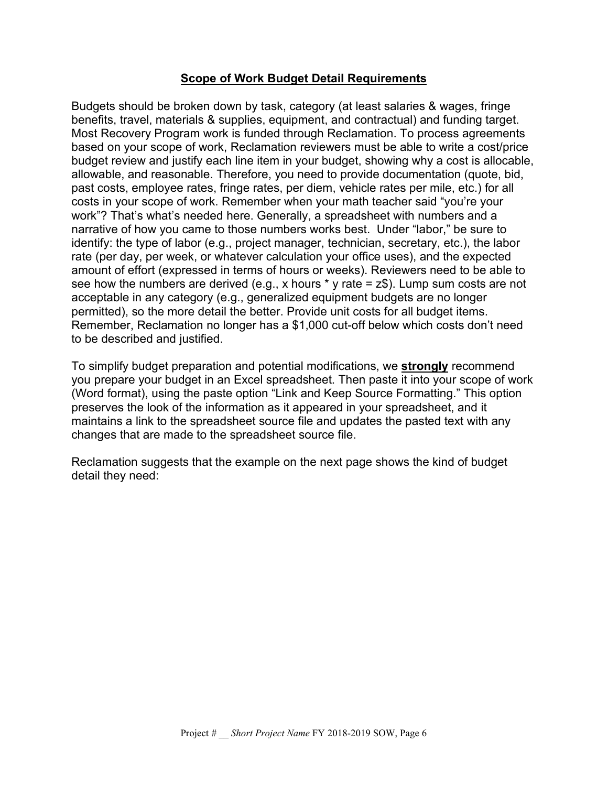## **Scope of Work Budget Detail Requirements**

Budgets should be broken down by task, category (at least salaries & wages, fringe benefits, travel, materials & supplies, equipment, and contractual) and funding target. Most Recovery Program work is funded through Reclamation. To process agreements based on your scope of work, Reclamation reviewers must be able to write a cost/price budget review and justify each line item in your budget, showing why a cost is allocable, allowable, and reasonable. Therefore, you need to provide documentation (quote, bid, past costs, employee rates, fringe rates, per diem, vehicle rates per mile, etc.) for all costs in your scope of work. Remember when your math teacher said "you're your work"? That's what's needed here. Generally, a spreadsheet with numbers and a narrative of how you came to those numbers works best. Under "labor," be sure to identify: the type of labor (e.g., project manager, technician, secretary, etc.), the labor rate (per day, per week, or whatever calculation your office uses), and the expected amount of effort (expressed in terms of hours or weeks). Reviewers need to be able to see how the numbers are derived (e.g., x hours  $*$  y rate =  $z$ \$). Lump sum costs are not acceptable in any category (e.g., generalized equipment budgets are no longer permitted), so the more detail the better. Provide unit costs for all budget items. Remember, Reclamation no longer has a \$1,000 cut-off below which costs don't need to be described and justified.

To simplify budget preparation and potential modifications, we **strongly** recommend you prepare your budget in an Excel spreadsheet. Then paste it into your scope of work (Word format), using the paste option "Link and Keep Source Formatting." This option preserves the look of the information as it appeared in your spreadsheet, and it maintains a link to the spreadsheet source file and updates the pasted text with any changes that are made to the spreadsheet source file.

Reclamation suggests that the example on the next page shows the kind of budget detail they need: